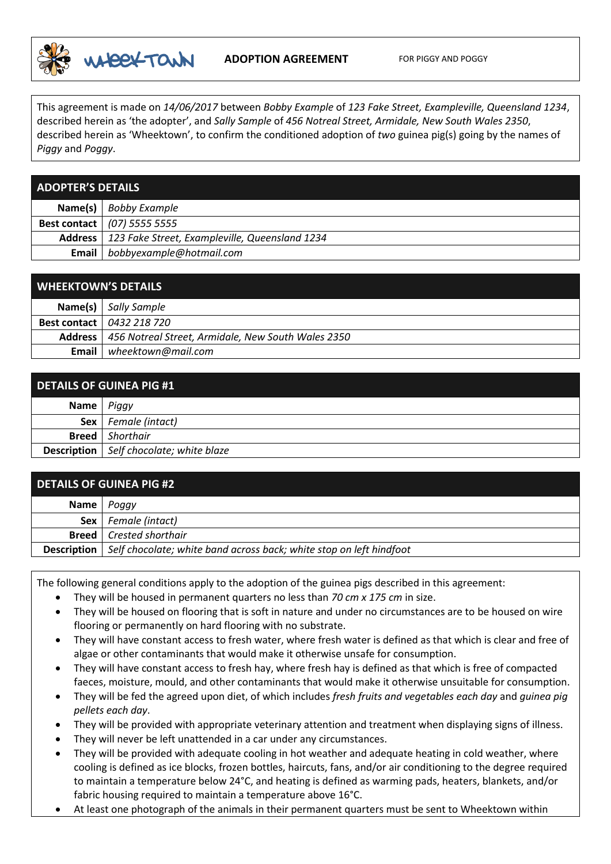

## **ADOPTION AGREEMENT** FOR PIGGY AND POGGY

This agreement is made on *14/06/2017* between *Bobby Example* of *123 Fake Street, Exampleville, Queensland 1234*, described herein as 'the adopter', and *Sally Sample* of *456 Notreal Street, Armidale, New South Wales 2350*, described herein as 'Wheektown', to confirm the conditioned adoption of *two* guinea pig(s) going by the names of *Piggy* and *Poggy*.

|  | <b>ADOPTER'S DETAILS</b> |
|--|--------------------------|
|  |                          |
|  |                          |

|              | Name(s) $\vert$ Bobby Example                            |
|--------------|----------------------------------------------------------|
|              | <b>Best contact</b>   (07) 5555 5555                     |
|              | Address   123 Fake Street, Exampleville, Queensland 1234 |
| <b>Email</b> | bobbyexample@hotmail.com                                 |

| <b>WHEEKTOWN'S DETAILS</b> |                                                              |
|----------------------------|--------------------------------------------------------------|
|                            | Name(s)   Sally Sample                                       |
|                            | <b>Best contact</b>   0432 218 720                           |
|                            | Address   456 Notreal Street, Armidale, New South Wales 2350 |
| Email                      | wheektown@mail.com                                           |

| <b>DETAILS OF GUINEA PIG #1</b> |                                                  |
|---------------------------------|--------------------------------------------------|
| Name                            | Piggy                                            |
|                                 | <b>Sex</b>   Female (intact)                     |
| <b>Breed</b>                    | Shorthair                                        |
|                                 | <b>Description</b>   Self chocolate; white blaze |

| <b>DETAILS OF GUINEA PIG #2</b> |                                                                                          |
|---------------------------------|------------------------------------------------------------------------------------------|
|                                 | Name   Poggy                                                                             |
|                                 | <b>Sex</b>   Female (intact)                                                             |
|                                 | <b>Breed</b> Crested shorthair                                                           |
|                                 | <b>Description</b>   Self chocolate; white band across back; white stop on left hindfoot |

The following general conditions apply to the adoption of the guinea pigs described in this agreement:

- They will be housed in permanent quarters no less than *70 cm x 175 cm* in size.
- They will be housed on flooring that is soft in nature and under no circumstances are to be housed on wire flooring or permanently on hard flooring with no substrate.
- They will have constant access to fresh water, where fresh water is defined as that which is clear and free of algae or other contaminants that would make it otherwise unsafe for consumption.
- They will have constant access to fresh hay, where fresh hay is defined as that which is free of compacted faeces, moisture, mould, and other contaminants that would make it otherwise unsuitable for consumption.
- They will be fed the agreed upon diet, of which includes *fresh fruits and vegetables each day* and *guinea pig pellets each day*.
- They will be provided with appropriate veterinary attention and treatment when displaying signs of illness.
- They will never be left unattended in a car under any circumstances.
- They will be provided with adequate cooling in hot weather and adequate heating in cold weather, where cooling is defined as ice blocks, frozen bottles, haircuts, fans, and/or air conditioning to the degree required to maintain a temperature below 24°C, and heating is defined as warming pads, heaters, blankets, and/or fabric housing required to maintain a temperature above 16°C.
- At least one photograph of the animals in their permanent quarters must be sent to Wheektown within